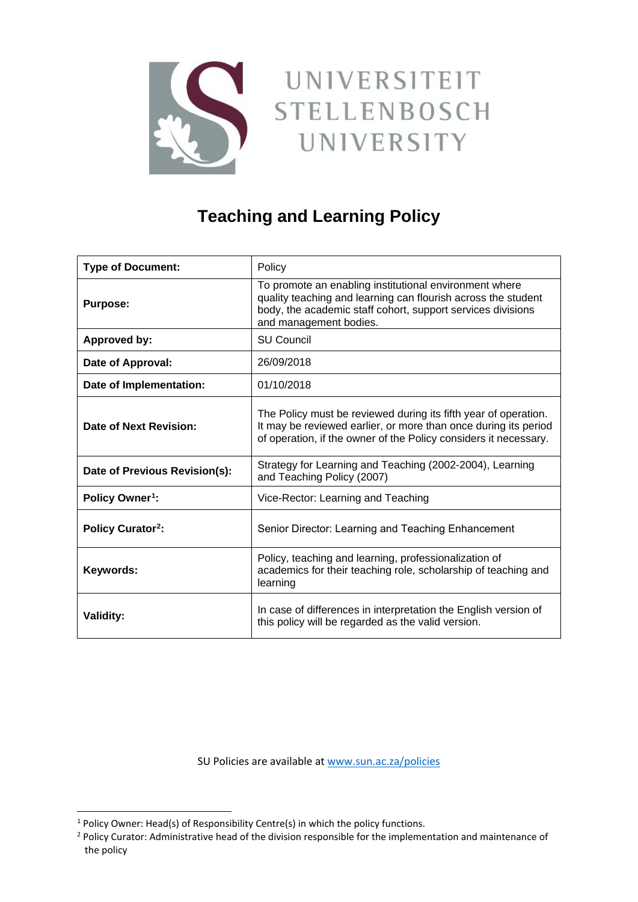

# UNIVERSITEIT **STELLENBOSCH** UNIVERSITY

# **Teaching and Learning Policy**

| <b>Type of Document:</b>      | Policy                                                                                                                                                                                                           |
|-------------------------------|------------------------------------------------------------------------------------------------------------------------------------------------------------------------------------------------------------------|
| <b>Purpose:</b>               | To promote an enabling institutional environment where<br>quality teaching and learning can flourish across the student<br>body, the academic staff cohort, support services divisions<br>and management bodies. |
| Approved by:                  | <b>SU Council</b>                                                                                                                                                                                                |
| Date of Approval:             | 26/09/2018                                                                                                                                                                                                       |
| Date of Implementation:       | 01/10/2018                                                                                                                                                                                                       |
| Date of Next Revision:        | The Policy must be reviewed during its fifth year of operation.<br>It may be reviewed earlier, or more than once during its period<br>of operation, if the owner of the Policy considers it necessary.           |
| Date of Previous Revision(s): | Strategy for Learning and Teaching (2002-2004), Learning<br>and Teaching Policy (2007)                                                                                                                           |
| Policy Owner <sup>1</sup> :   | Vice-Rector: Learning and Teaching                                                                                                                                                                               |
| <b>Policy Curator2:</b>       | Senior Director: Learning and Teaching Enhancement                                                                                                                                                               |
| Keywords:                     | Policy, teaching and learning, professionalization of<br>academics for their teaching role, scholarship of teaching and<br>learning                                                                              |
| <b>Validity:</b>              | In case of differences in interpretation the English version of<br>this policy will be regarded as the valid version.                                                                                            |

SU Policies are available a[t www.sun.ac.za/policies](http://www.sun.ac.za/policies)

<span id="page-0-0"></span> $<sup>1</sup>$  Policy Owner: Head(s) of Responsibility Centre(s) in which the policy functions.</sup>

<span id="page-0-1"></span><sup>&</sup>lt;sup>2</sup> Policy Curator: Administrative head of the division responsible for the implementation and maintenance of the policy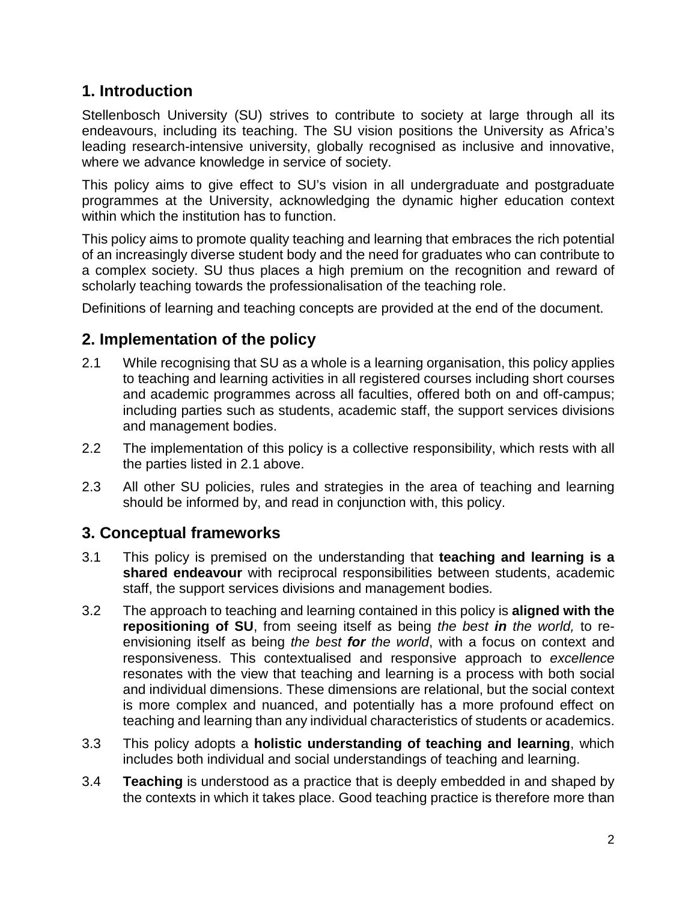# **1. Introduction**

Stellenbosch University (SU) strives to contribute to society at large through all its endeavours, including its teaching. The SU vision positions the University as Africa's leading research-intensive university, globally recognised as inclusive and innovative, where we advance knowledge in service of society.

This policy aims to give effect to SU's vision in all undergraduate and postgraduate programmes at the University, acknowledging the dynamic higher education context within which the institution has to function.

This policy aims to promote quality teaching and learning that embraces the rich potential of an increasingly diverse student body and the need for graduates who can contribute to a complex society. SU thus places a high premium on the recognition and reward of scholarly teaching towards the professionalisation of the teaching role.

Definitions of learning and teaching concepts are provided at the end of the document.

# **2. Implementation of the policy**

- 2.1 While recognising that SU as a whole is a learning organisation, this policy applies to teaching and learning activities in all registered courses including short courses and academic programmes across all faculties, offered both on and off-campus; including parties such as students, academic staff, the support services divisions and management bodies.
- 2.2 The implementation of this policy is a collective responsibility, which rests with all the parties listed in 2.1 above.
- 2.3 All other SU policies, rules and strategies in the area of teaching and learning should be informed by, and read in conjunction with, this policy.

# **3. Conceptual frameworks**

- 3.1 This policy is premised on the understanding that **teaching and learning is a shared endeavour** with reciprocal responsibilities between students, academic staff, the support services divisions and management bodies.
- 3.2 The approach to teaching and learning contained in this policy is **aligned with the repositioning of SU**, from seeing itself as being *the best in the world,* to reenvisioning itself as being *the best for the world*, with a focus on context and responsiveness. This contextualised and responsive approach to *excellence* resonates with the view that teaching and learning is a process with both social and individual dimensions. These dimensions are relational, but the social context is more complex and nuanced, and potentially has a more profound effect on teaching and learning than any individual characteristics of students or academics.
- 3.3 This policy adopts a **holistic understanding of teaching and learning**, which includes both individual and social understandings of teaching and learning.
- 3.4 **Teaching** is understood as a practice that is deeply embedded in and shaped by the contexts in which it takes place. Good teaching practice is therefore more than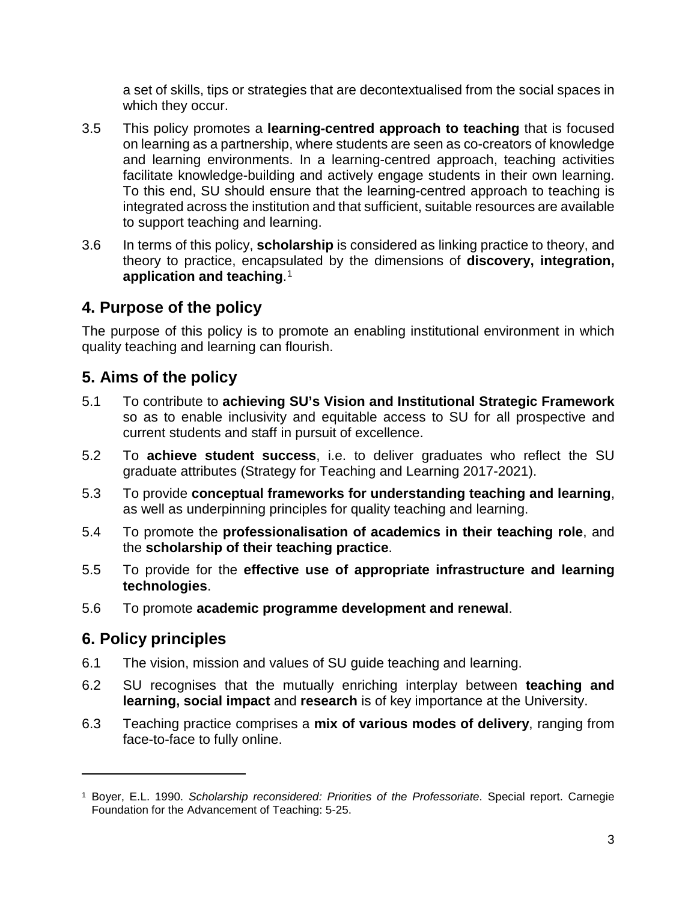a set of skills, tips or strategies that are decontextualised from the social spaces in which they occur.

- 3.5 This policy promotes a **learning-centred approach to teaching** that is focused on learning as a partnership, where students are seen as co-creators of knowledge and learning environments. In a learning-centred approach, teaching activities facilitate knowledge-building and actively engage students in their own learning. To this end, SU should ensure that the learning-centred approach to teaching is integrated across the institution and that sufficient, suitable resources are available to support teaching and learning.
- 3.6 In terms of this policy, **scholarship** is considered as linking practice to theory, and theory to practice, encapsulated by the dimensions of **discovery, integration, application and teaching**. [1](#page-2-0)

# **4. Purpose of the policy**

The purpose of this policy is to promote an enabling institutional environment in which quality teaching and learning can flourish.

# **5. Aims of the policy**

- 5.1 To contribute to **achieving SU's Vision and Institutional Strategic Framework** so as to enable inclusivity and equitable access to SU for all prospective and current students and staff in pursuit of excellence.
- 5.2 To **achieve student success**, i.e. to deliver graduates who reflect the SU graduate attributes (Strategy for Teaching and Learning 2017-2021).
- 5.3 To provide **conceptual frameworks for understanding teaching and learning**, as well as underpinning principles for quality teaching and learning.
- 5.4 To promote the **professionalisation of academics in their teaching role**, and the **scholarship of their teaching practice**.
- 5.5 To provide for the **effective use of appropriate infrastructure and learning technologies**.
- 5.6 To promote **academic programme development and renewal**.

# **6. Policy principles**

 $\overline{a}$ 

- 6.1 The vision, mission and values of SU guide teaching and learning.
- 6.2 SU recognises that the mutually enriching interplay between **teaching and learning, social impact** and **research** is of key importance at the University.
- 6.3 Teaching practice comprises a **mix of various modes of delivery**, ranging from face-to-face to fully online.

<span id="page-2-0"></span><sup>1</sup> Boyer, E.L. 1990. *Scholarship reconsidered: Priorities of the Professoriate*. Special report. Carnegie Foundation for the Advancement of Teaching: 5-25.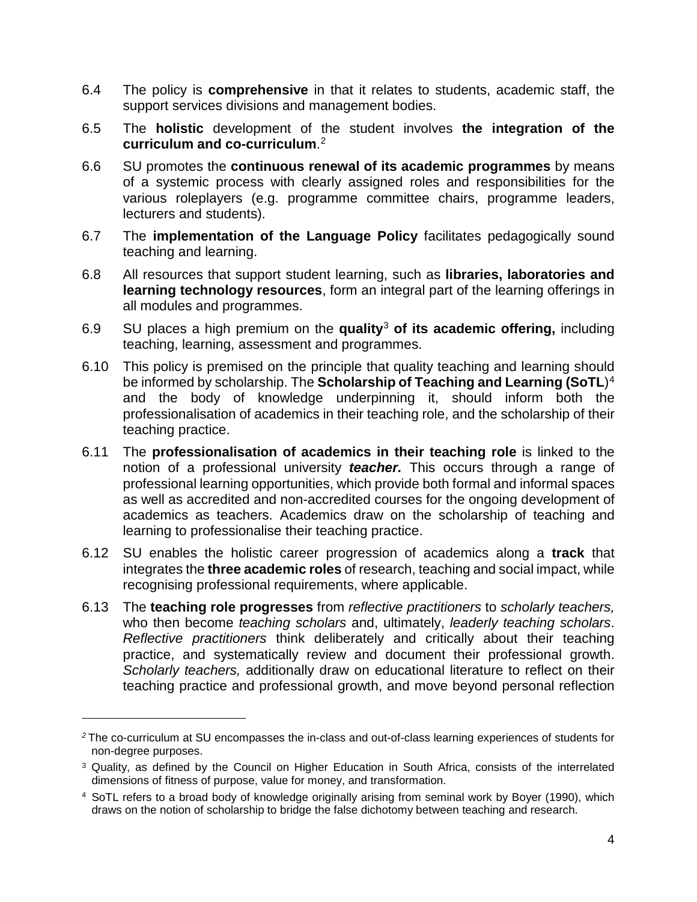- 6.4 The policy is **comprehensive** in that it relates to students, academic staff, the support services divisions and management bodies.
- 6.5 The **holistic** development of the student involves **the integration of the curriculum and co-curriculum**. [2](#page-3-0)
- 6.6 SU promotes the **continuous renewal of its academic programmes** by means of a systemic process with clearly assigned roles and responsibilities for the various roleplayers (e.g. programme committee chairs, programme leaders, lecturers and students).
- 6.7 The **implementation of the Language Policy** facilitates pedagogically sound teaching and learning.
- 6.8 All resources that support student learning, such as **libraries, laboratories and learning technology resources**, form an integral part of the learning offerings in all modules and programmes.
- 6.9 SU places a high premium on the **quality**[3](#page-3-1) **of its academic offering,** including teaching, learning, assessment and programmes.
- 6.10 This policy is premised on the principle that quality teaching and learning should be informed by scholarship. The **Scholarship of Teaching and Learning (SoTL**)[4](#page-3-2) and the body of knowledge underpinning it, should inform both the professionalisation of academics in their teaching role, and the scholarship of their teaching practice.
- 6.11 The **professionalisation of academics in their teaching role** is linked to the notion of a professional university *teacher.* This occurs through a range of professional learning opportunities, which provide both formal and informal spaces as well as accredited and non-accredited courses for the ongoing development of academics as teachers. Academics draw on the scholarship of teaching and learning to professionalise their teaching practice.
- 6.12 SU enables the holistic career progression of academics along a **track** that integrates the **three academic roles** of research, teaching and social impact, while recognising professional requirements, where applicable.
- 6.13 The **teaching role progresses** from *reflective practitioners* to *scholarly teachers,* who then become *teaching scholars* and, ultimately, *leaderly teaching scholars*. *Reflective practitioners* think deliberately and critically about their teaching practice, and systematically review and document their professional growth. *Scholarly teachers,* additionally draw on educational literature to reflect on their teaching practice and professional growth, and move beyond personal reflection

 $\overline{a}$ 

<span id="page-3-0"></span>*<sup>2</sup>* The co-curriculum at SU encompasses the in-class and out-of-class learning experiences of students for non-degree purposes.

<span id="page-3-1"></span><sup>3</sup> Quality, as defined by the Council on Higher Education in South Africa, consists of the interrelated dimensions of fitness of purpose, value for money, and transformation.

<span id="page-3-2"></span><sup>4</sup> SoTL refers to a broad body of knowledge originally arising from seminal work by Boyer (1990), which draws on the notion of scholarship to bridge the false dichotomy between teaching and research.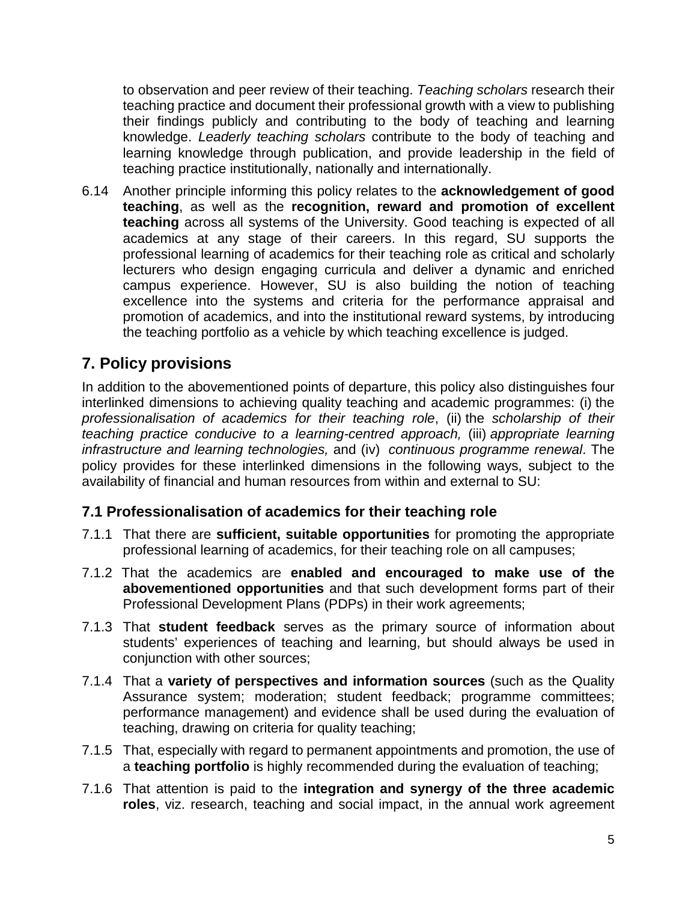to observation and peer review of their teaching. *Teaching scholars* research their teaching practice and document their professional growth with a view to publishing their findings publicly and contributing to the body of teaching and learning knowledge. *Leaderly teaching scholars* contribute to the body of teaching and learning knowledge through publication, and provide leadership in the field of teaching practice institutionally, nationally and internationally.

6.14 Another principle informing this policy relates to the **acknowledgement of good teaching**, as well as the **recognition, reward and promotion of excellent teaching** across all systems of the University. Good teaching is expected of all academics at any stage of their careers. In this regard, SU supports the professional learning of academics for their teaching role as critical and scholarly lecturers who design engaging curricula and deliver a dynamic and enriched campus experience. However, SU is also building the notion of teaching excellence into the systems and criteria for the performance appraisal and promotion of academics, and into the institutional reward systems, by introducing the teaching portfolio as a vehicle by which teaching excellence is judged.

# **7. Policy provisions**

In addition to the abovementioned points of departure, this policy also distinguishes four interlinked dimensions to achieving quality teaching and academic programmes: (i) the *professionalisation of academics for their teaching role*, (ii) the *scholarship of their teaching practice conducive to a learning-centred approach,* (iii) *appropriate learning infrastructure and learning technologies,* and (iv) *continuous programme renewal*. The policy provides for these interlinked dimensions in the following ways, subject to the availability of financial and human resources from within and external to SU:

#### **7.1 Professionalisation of academics for their teaching role**

- 7.1.1 That there are **sufficient, suitable opportunities** for promoting the appropriate professional learning of academics, for their teaching role on all campuses;
- 7.1.2 That the academics are **enabled and encouraged to make use of the abovementioned opportunities** and that such development forms part of their Professional Development Plans (PDPs) in their work agreements;
- 7.1.3 That **student feedback** serves as the primary source of information about students' experiences of teaching and learning, but should always be used in conjunction with other sources;
- 7.1.4 That a **variety of perspectives and information sources** (such as the Quality Assurance system; moderation; student feedback; programme committees; performance management) and evidence shall be used during the evaluation of teaching, drawing on criteria for quality teaching;
- 7.1.5 That, especially with regard to permanent appointments and promotion, the use of a **teaching portfolio** is highly recommended during the evaluation of teaching;
- 7.1.6 That attention is paid to the **integration and synergy of the three academic roles**, viz. research, teaching and social impact, in the annual work agreement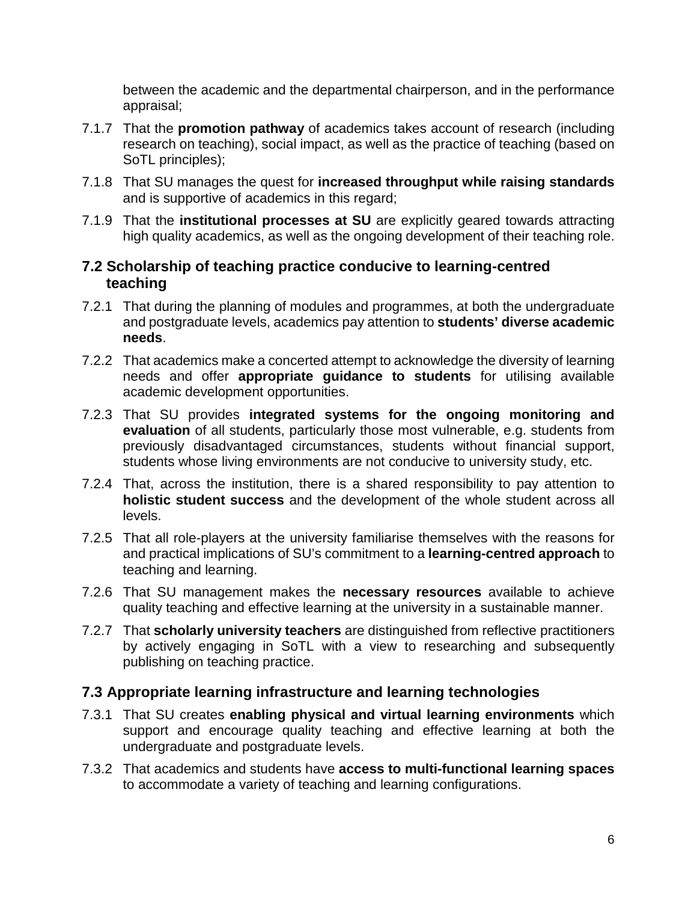between the academic and the departmental chairperson, and in the performance appraisal;

- 7.1.7 That the **promotion pathway** of academics takes account of research (including research on teaching), social impact, as well as the practice of teaching (based on SoTL principles);
- 7.1.8 That SU manages the quest for **increased throughput while raising standards** and is supportive of academics in this regard;
- 7.1.9 That the **institutional processes at SU** are explicitly geared towards attracting high quality academics, as well as the ongoing development of their teaching role.

#### **7.2 Scholarship of teaching practice conducive to learning-centred teaching**

- 7.2.1 That during the planning of modules and programmes, at both the undergraduate and postgraduate levels, academics pay attention to **students' diverse academic needs**.
- 7.2.2 That academics make a concerted attempt to acknowledge the diversity of learning needs and offer **appropriate guidance to students** for utilising available academic development opportunities.
- 7.2.3 That SU provides **integrated systems for the ongoing monitoring and evaluation** of all students, particularly those most vulnerable, e.g. students from previously disadvantaged circumstances, students without financial support, students whose living environments are not conducive to university study, etc.
- 7.2.4 That, across the institution, there is a shared responsibility to pay attention to **holistic student success** and the development of the whole student across all levels.
- 7.2.5 That all role-players at the university familiarise themselves with the reasons for and practical implications of SU's commitment to a **learning-centred approach** to teaching and learning.
- 7.2.6 That SU management makes the **necessary resources** available to achieve quality teaching and effective learning at the university in a sustainable manner.
- 7.2.7 That **scholarly university teachers** are distinguished from reflective practitioners by actively engaging in SoTL with a view to researching and subsequently publishing on teaching practice.

#### **7.3 Appropriate learning infrastructure and learning technologies**

- 7.3.1 That SU creates **enabling physical and virtual learning environments** which support and encourage quality teaching and effective learning at both the undergraduate and postgraduate levels.
- 7.3.2 That academics and students have **access to multi-functional learning spaces** to accommodate a variety of teaching and learning configurations.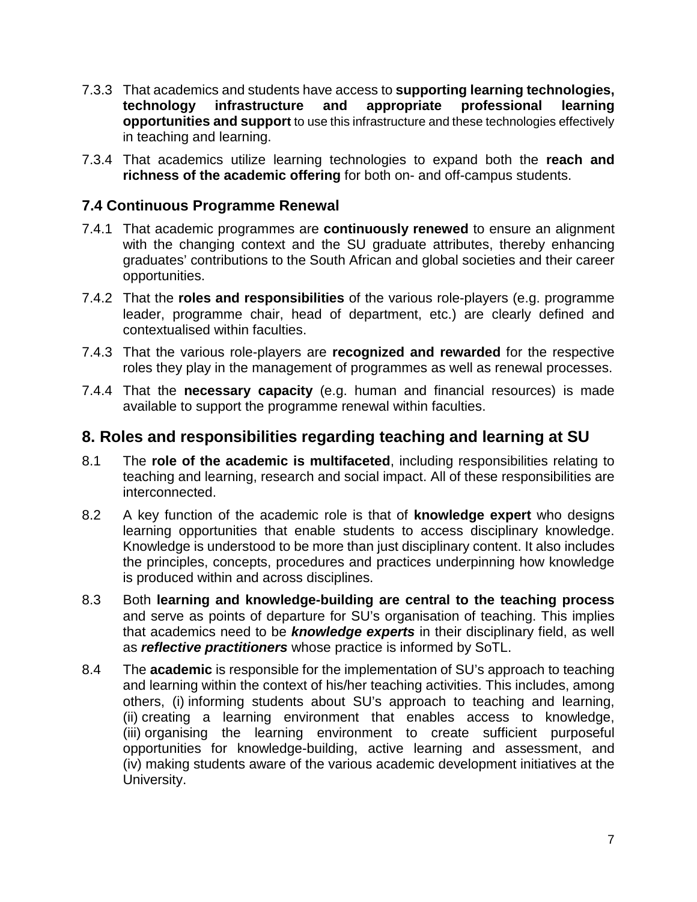- 7.3.3 That academics and students have access to **supporting learning technologies, technology infrastructure and appropriate professional learning opportunities and support** to use this infrastructure and these technologies effectively in teaching and learning.
- 7.3.4 That academics utilize learning technologies to expand both the **reach and richness of the academic offering** for both on- and off-campus students.

#### **7.4 Continuous Programme Renewal**

- 7.4.1 That academic programmes are **continuously renewed** to ensure an alignment with the changing context and the SU graduate attributes, thereby enhancing graduates' contributions to the South African and global societies and their career opportunities.
- 7.4.2 That the **roles and responsibilities** of the various role-players (e.g. programme leader, programme chair, head of department, etc.) are clearly defined and contextualised within faculties.
- 7.4.3 That the various role-players are **recognized and rewarded** for the respective roles they play in the management of programmes as well as renewal processes.
- 7.4.4 That the **necessary capacity** (e.g. human and financial resources) is made available to support the programme renewal within faculties.

#### **8. Roles and responsibilities regarding teaching and learning at SU**

- 8.1 The **role of the academic is multifaceted**, including responsibilities relating to teaching and learning, research and social impact. All of these responsibilities are interconnected.
- 8.2 A key function of the academic role is that of **knowledge expert** who designs learning opportunities that enable students to access disciplinary knowledge. Knowledge is understood to be more than just disciplinary content. It also includes the principles, concepts, procedures and practices underpinning how knowledge is produced within and across disciplines.
- 8.3 Both **learning and knowledge-building are central to the teaching process** and serve as points of departure for SU's organisation of teaching. This implies that academics need to be *knowledge experts* in their disciplinary field, as well as *reflective practitioners* whose practice is informed by SoTL.
- 8.4 The **academic** is responsible for the implementation of SU's approach to teaching and learning within the context of his/her teaching activities. This includes, among others, (i) informing students about SU's approach to teaching and learning, (ii) creating a learning environment that enables access to knowledge, (iii) organising the learning environment to create sufficient purposeful opportunities for knowledge-building, active learning and assessment, and (iv) making students aware of the various academic development initiatives at the University.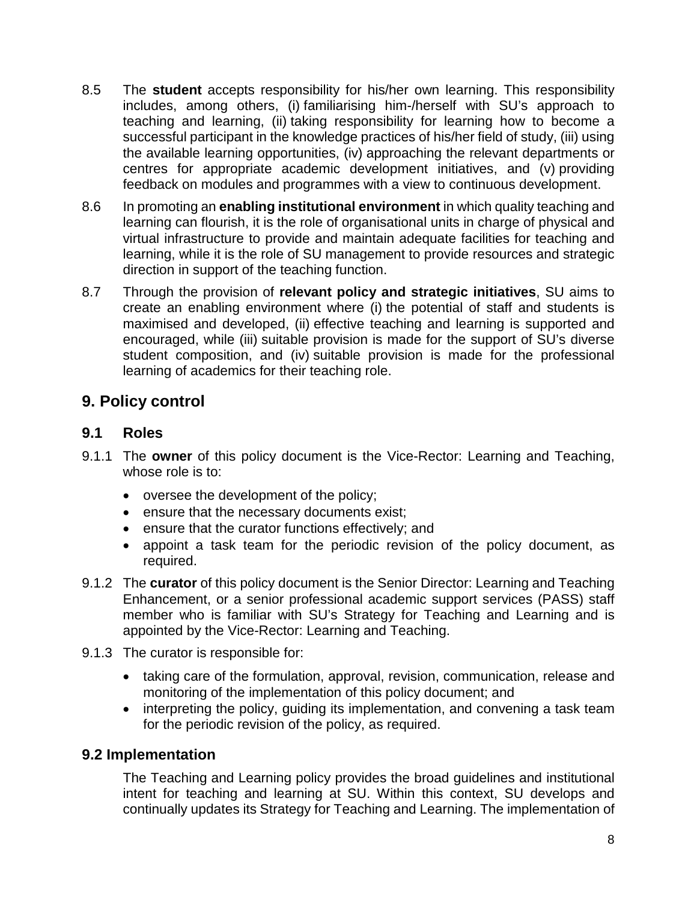- 8.5 The **student** accepts responsibility for his/her own learning. This responsibility includes, among others, (i) familiarising him-/herself with SU's approach to teaching and learning, (ii) taking responsibility for learning how to become a successful participant in the knowledge practices of his/her field of study, (iii) using the available learning opportunities, (iv) approaching the relevant departments or centres for appropriate academic development initiatives, and (v) providing feedback on modules and programmes with a view to continuous development.
- 8.6 In promoting an **enabling institutional environment** in which quality teaching and learning can flourish, it is the role of organisational units in charge of physical and virtual infrastructure to provide and maintain adequate facilities for teaching and learning, while it is the role of SU management to provide resources and strategic direction in support of the teaching function.
- 8.7 Through the provision of **relevant policy and strategic initiatives**, SU aims to create an enabling environment where (i) the potential of staff and students is maximised and developed, (ii) effective teaching and learning is supported and encouraged, while (iii) suitable provision is made for the support of SU's diverse student composition, and (iv) suitable provision is made for the professional learning of academics for their teaching role.

# **9. Policy control**

#### **9.1 Roles**

- 9.1.1 The **owner** of this policy document is the Vice-Rector: Learning and Teaching, whose role is to:
	- oversee the development of the policy;
	- ensure that the necessary documents exist;
	- ensure that the curator functions effectively; and
	- appoint a task team for the periodic revision of the policy document, as required.
- 9.1.2 The **curator** of this policy document is the Senior Director: Learning and Teaching Enhancement, or a senior professional academic support services (PASS) staff member who is familiar with SU's Strategy for Teaching and Learning and is appointed by the Vice-Rector: Learning and Teaching.
- 9.1.3 The curator is responsible for:
	- taking care of the formulation, approval, revision, communication, release and monitoring of the implementation of this policy document; and
	- interpreting the policy, guiding its implementation, and convening a task team for the periodic revision of the policy, as required.

#### **9.2 Implementation**

The Teaching and Learning policy provides the broad guidelines and institutional intent for teaching and learning at SU. Within this context, SU develops and continually updates its Strategy for Teaching and Learning. The implementation of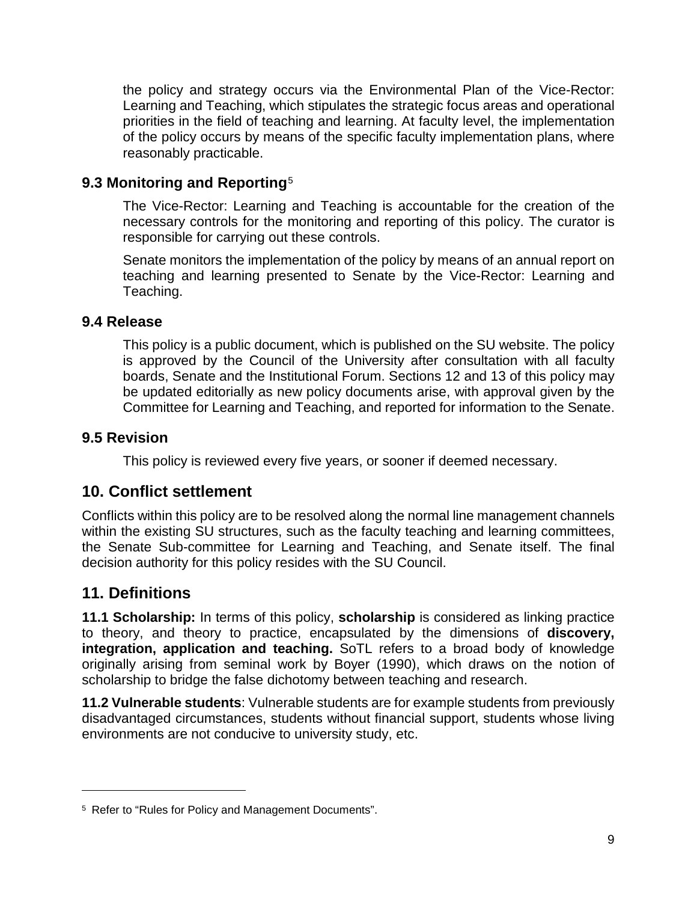the policy and strategy occurs via the Environmental Plan of the Vice-Rector: Learning and Teaching, which stipulates the strategic focus areas and operational priorities in the field of teaching and learning. At faculty level, the implementation of the policy occurs by means of the specific faculty implementation plans, where reasonably practicable.

#### **9.3 Monitoring and Reporting**[5](#page-8-0)

The Vice-Rector: Learning and Teaching is accountable for the creation of the necessary controls for the monitoring and reporting of this policy. The curator is responsible for carrying out these controls.

Senate monitors the implementation of the policy by means of an annual report on teaching and learning presented to Senate by the Vice-Rector: Learning and Teaching.

#### **9.4 Release**

This policy is a public document, which is published on the SU website. The policy is approved by the Council of the University after consultation with all faculty boards, Senate and the Institutional Forum. Sections 12 and 13 of this policy may be updated editorially as new policy documents arise, with approval given by the Committee for Learning and Teaching, and reported for information to the Senate.

#### **9.5 Revision**

This policy is reviewed every five years, or sooner if deemed necessary.

#### **10. Conflict settlement**

Conflicts within this policy are to be resolved along the normal line management channels within the existing SU structures, such as the faculty teaching and learning committees, the Senate Sub-committee for Learning and Teaching, and Senate itself. The final decision authority for this policy resides with the SU Council.

# **11. Definitions**

 $\overline{a}$ 

**11.1 Scholarship:** In terms of this policy, **scholarship** is considered as linking practice to theory, and theory to practice, encapsulated by the dimensions of **discovery, integration, application and teaching.** SoTL refers to a broad body of knowledge originally arising from seminal work by Boyer (1990), which draws on the notion of scholarship to bridge the false dichotomy between teaching and research.

**11.2 Vulnerable students**: Vulnerable students are for example students from previously disadvantaged circumstances, students without financial support, students whose living environments are not conducive to university study, etc.

<span id="page-8-0"></span><sup>5</sup> Refer to "Rules for Policy and Management Documents".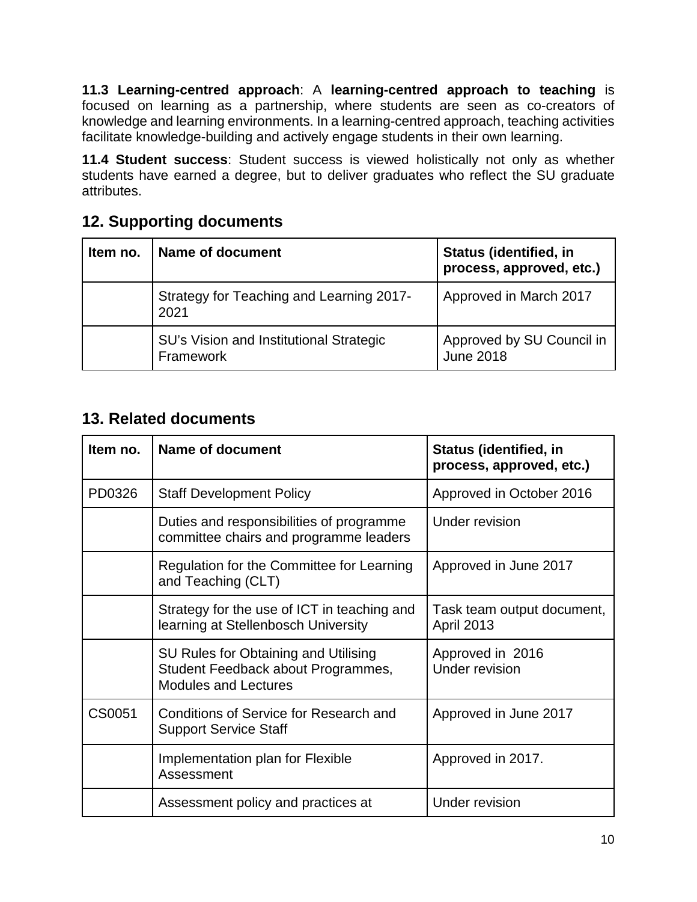**11.3 Learning-centred approach**: A **learning-centred approach to teaching** is focused on learning as a partnership, where students are seen as co-creators of knowledge and learning environments. In a learning-centred approach, teaching activities facilitate knowledge-building and actively engage students in their own learning.

**11.4 Student success**: Student success is viewed holistically not only as whether students have earned a degree, but to deliver graduates who reflect the SU graduate attributes.

# **12. Supporting documents**

| Item no. | Name of document                                     | <b>Status (identified, in</b><br>process, approved, etc.) |
|----------|------------------------------------------------------|-----------------------------------------------------------|
|          | Strategy for Teaching and Learning 2017-<br>2021     | Approved in March 2017                                    |
|          | SU's Vision and Institutional Strategic<br>Framework | Approved by SU Council in<br><b>June 2018</b>             |

# **13. Related documents**

| Item no. | <b>Name of document</b>                                                                                   | <b>Status (identified, in</b><br>process, approved, etc.) |
|----------|-----------------------------------------------------------------------------------------------------------|-----------------------------------------------------------|
| PD0326   | <b>Staff Development Policy</b>                                                                           | Approved in October 2016                                  |
|          | Duties and responsibilities of programme<br>committee chairs and programme leaders                        | <b>Under revision</b>                                     |
|          | Regulation for the Committee for Learning<br>and Teaching (CLT)                                           | Approved in June 2017                                     |
|          | Strategy for the use of ICT in teaching and<br>learning at Stellenbosch University                        | Task team output document,<br><b>April 2013</b>           |
|          | SU Rules for Obtaining and Utilising<br>Student Feedback about Programmes,<br><b>Modules and Lectures</b> | Approved in 2016<br>Under revision                        |
| CS0051   | <b>Conditions of Service for Research and</b><br><b>Support Service Staff</b>                             | Approved in June 2017                                     |
|          | Implementation plan for Flexible<br>Assessment                                                            | Approved in 2017.                                         |
|          | Assessment policy and practices at                                                                        | <b>Under revision</b>                                     |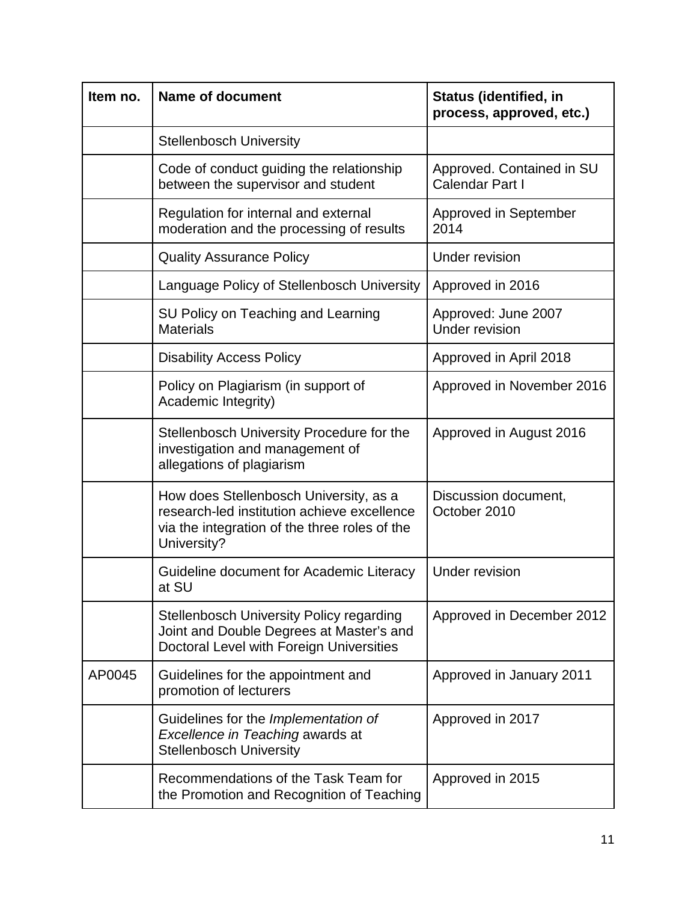| Item no. | <b>Name of document</b>                                                                                                                               | <b>Status (identified, in</b><br>process, approved, etc.) |
|----------|-------------------------------------------------------------------------------------------------------------------------------------------------------|-----------------------------------------------------------|
|          | <b>Stellenbosch University</b>                                                                                                                        |                                                           |
|          | Code of conduct guiding the relationship<br>between the supervisor and student                                                                        | Approved. Contained in SU<br>Calendar Part I              |
|          | Regulation for internal and external<br>moderation and the processing of results                                                                      | Approved in September<br>2014                             |
|          | <b>Quality Assurance Policy</b>                                                                                                                       | <b>Under revision</b>                                     |
|          | Language Policy of Stellenbosch University                                                                                                            | Approved in 2016                                          |
|          | SU Policy on Teaching and Learning<br><b>Materials</b>                                                                                                | Approved: June 2007<br><b>Under revision</b>              |
|          | <b>Disability Access Policy</b>                                                                                                                       | Approved in April 2018                                    |
|          | Policy on Plagiarism (in support of<br>Academic Integrity)                                                                                            | Approved in November 2016                                 |
|          | Stellenbosch University Procedure for the<br>investigation and management of<br>allegations of plagiarism                                             | Approved in August 2016                                   |
|          | How does Stellenbosch University, as a<br>research-led institution achieve excellence<br>via the integration of the three roles of the<br>University? | Discussion document,<br>October 2010                      |
|          | Guideline document for Academic Literacy<br>at SU                                                                                                     | <b>Under revision</b>                                     |
|          | <b>Stellenbosch University Policy regarding</b><br>Joint and Double Degrees at Master's and<br>Doctoral Level with Foreign Universities               | Approved in December 2012                                 |
| AP0045   | Guidelines for the appointment and<br>promotion of lecturers                                                                                          | Approved in January 2011                                  |
|          | Guidelines for the Implementation of<br>Excellence in Teaching awards at<br><b>Stellenbosch University</b>                                            | Approved in 2017                                          |
|          | Recommendations of the Task Team for<br>the Promotion and Recognition of Teaching                                                                     | Approved in 2015                                          |